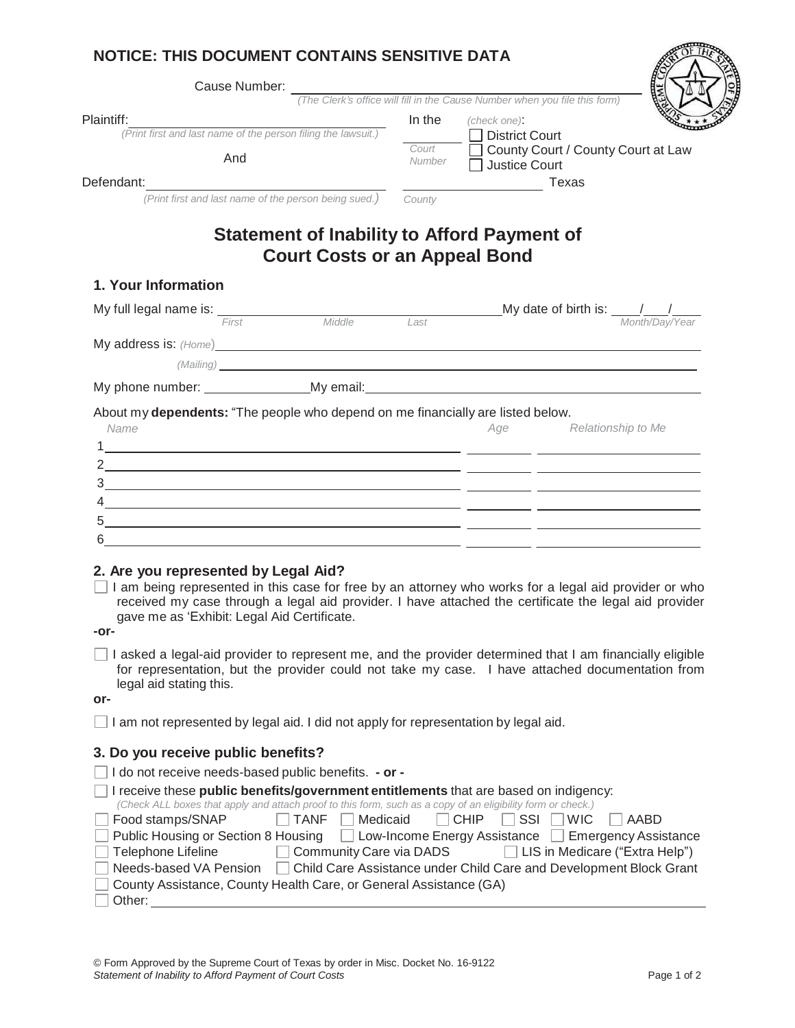| Cause Number:                                                                                                                                                                                                                      |                                      |                                                                                                                                                                                                                                                                                                                                                                                                                               |
|------------------------------------------------------------------------------------------------------------------------------------------------------------------------------------------------------------------------------------|--------------------------------------|-------------------------------------------------------------------------------------------------------------------------------------------------------------------------------------------------------------------------------------------------------------------------------------------------------------------------------------------------------------------------------------------------------------------------------|
|                                                                                                                                                                                                                                    |                                      | (The Clerk's office will fill in the Cause Number when you file this form)                                                                                                                                                                                                                                                                                                                                                    |
| Plaintiff:<br>(Print first and last name of the person filing the lawsuit.)                                                                                                                                                        | In the                               | (check one):<br>□ District Court                                                                                                                                                                                                                                                                                                                                                                                              |
|                                                                                                                                                                                                                                    | Court                                | County Court / County Court at Law                                                                                                                                                                                                                                                                                                                                                                                            |
| And                                                                                                                                                                                                                                | Number                               | □ Justice Court                                                                                                                                                                                                                                                                                                                                                                                                               |
| Defendant:<br>(Print first and last name of the person being sued.)                                                                                                                                                                |                                      |                                                                                                                                                                                                                                                                                                                                                                                                                               |
|                                                                                                                                                                                                                                    | County                               |                                                                                                                                                                                                                                                                                                                                                                                                                               |
|                                                                                                                                                                                                                                    | <b>Court Costs or an Appeal Bond</b> | <b>Statement of Inability to Afford Payment of</b>                                                                                                                                                                                                                                                                                                                                                                            |
| 1. Your Information                                                                                                                                                                                                                |                                      |                                                                                                                                                                                                                                                                                                                                                                                                                               |
|                                                                                                                                                                                                                                    |                                      | My full legal name is: $\frac{1}{2\pi}$ Middle Middle Last My date of birth is: $\frac{1}{2\pi}$ Month/Day/Year                                                                                                                                                                                                                                                                                                               |
|                                                                                                                                                                                                                                    |                                      |                                                                                                                                                                                                                                                                                                                                                                                                                               |
| My address is: (Home) <b>Example 2008</b> 2014 2022 2023 2024 2022 2023 2024 2022 2023 2024 2022 2023 2024 2022 2023 2024 2022 2023 2024 2022 2023 2024 2022 2023 2024 2022 2023 2024 2022 2023 2024 2022 2023 2024 2022 2023 2024 |                                      |                                                                                                                                                                                                                                                                                                                                                                                                                               |
|                                                                                                                                                                                                                                    |                                      | (Mailing) and the contract of the contract of the contract of the contract of the contract of the contract of the contract of the contract of the contract of the contract of the contract of the contract of the contract of                                                                                                                                                                                                 |
|                                                                                                                                                                                                                                    |                                      |                                                                                                                                                                                                                                                                                                                                                                                                                               |
|                                                                                                                                                                                                                                    |                                      |                                                                                                                                                                                                                                                                                                                                                                                                                               |
| About my dependents: "The people who depend on me financially are listed below.<br>Name                                                                                                                                            |                                      | Relationship to Me<br>Age                                                                                                                                                                                                                                                                                                                                                                                                     |
|                                                                                                                                                                                                                                    |                                      | $\frac{4}{2}$ . The contract of the contract of the contract of the contract of the contract of the contract of the contract of the contract of the contract of the contract of the contract of the contract of the contract of t                                                                                                                                                                                             |
| <u> 1989 - Andrea Andrew Maria (h. 1989).</u>                                                                                                                                                                                      |                                      |                                                                                                                                                                                                                                                                                                                                                                                                                               |
| 2. Are you represented by Legal Aid?<br>gave me as 'Exhibit: Legal Aid Certificate.<br>-or-<br>legal aid stating this.<br>or-                                                                                                      |                                      | I am being represented in this case for free by an attorney who works for a legal aid provider or who<br>received my case through a legal aid provider. I have attached the certificate the legal aid provider<br>I asked a legal-aid provider to represent me, and the provider determined that I am financially eligible<br>for representation, but the provider could not take my case. I have attached documentation from |
| I am not represented by legal aid. I did not apply for representation by legal aid.                                                                                                                                                |                                      |                                                                                                                                                                                                                                                                                                                                                                                                                               |
| 3. Do you receive public benefits?                                                                                                                                                                                                 |                                      |                                                                                                                                                                                                                                                                                                                                                                                                                               |

| $\Box$ I receive these <b>public benefits/government entitlements</b> that are based on indigency:          |  |  |  |  |  |  |  |  |
|-------------------------------------------------------------------------------------------------------------|--|--|--|--|--|--|--|--|
| (Check ALL boxes that apply and attach proof to this form, such as a copy of an eligibility form or check.) |  |  |  |  |  |  |  |  |
| Food stamps/SNAP<br>$\Box$ TANF $\Box$ Medicaid $\Box$ CHIP $\Box$ SSI $\Box$ WIC $\Box$ AABD               |  |  |  |  |  |  |  |  |
| ◯ Public Housing or Section 8 Housing ◯ Low-Income Energy Assistance ◯ Emergency Assistance                 |  |  |  |  |  |  |  |  |
| Community Care via DADS LIS in Medicare ("Extra Help")<br>$\Box$ Telephone Lifeline                         |  |  |  |  |  |  |  |  |
| Needs-based VA Pension Child Care Assistance under Child Care and Development Block Grant                   |  |  |  |  |  |  |  |  |
| County Assistance, County Health Care, or General Assistance (GA)                                           |  |  |  |  |  |  |  |  |
| Other:                                                                                                      |  |  |  |  |  |  |  |  |